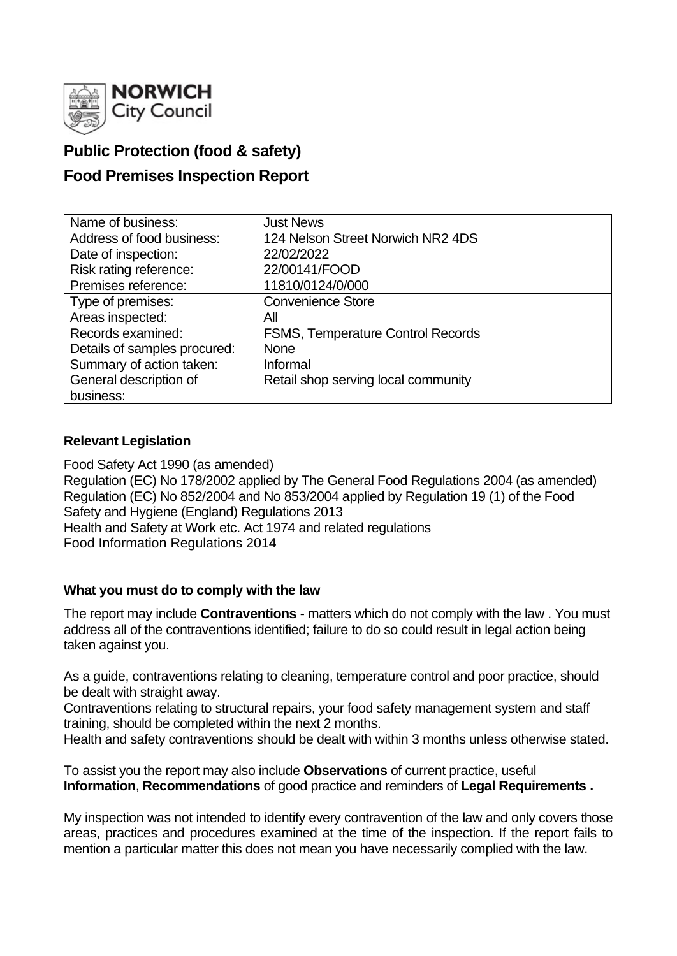

# **Public Protection (food & safety)**

# **Food Premises Inspection Report**

| Name of business:            | <b>Just News</b>                    |
|------------------------------|-------------------------------------|
| Address of food business:    | 124 Nelson Street Norwich NR2 4DS   |
| Date of inspection:          | 22/02/2022                          |
| Risk rating reference:       | 22/00141/FOOD                       |
| Premises reference:          | 11810/0124/0/000                    |
| Type of premises:            | <b>Convenience Store</b>            |
| Areas inspected:             | All                                 |
| Records examined:            | FSMS, Temperature Control Records   |
| Details of samples procured: | <b>None</b>                         |
| Summary of action taken:     | Informal                            |
| General description of       | Retail shop serving local community |
| business:                    |                                     |

## **Relevant Legislation**

Food Safety Act 1990 (as amended) Regulation (EC) No 178/2002 applied by The General Food Regulations 2004 (as amended) Regulation (EC) No 852/2004 and No 853/2004 applied by Regulation 19 (1) of the Food Safety and Hygiene (England) Regulations 2013 Health and Safety at Work etc. Act 1974 and related regulations Food Information Regulations 2014

#### **What you must do to comply with the law**

The report may include **Contraventions** - matters which do not comply with the law . You must address all of the contraventions identified; failure to do so could result in legal action being taken against you.

As a guide, contraventions relating to cleaning, temperature control and poor practice, should be dealt with straight away.

Contraventions relating to structural repairs, your food safety management system and staff training, should be completed within the next 2 months.

Health and safety contraventions should be dealt with within 3 months unless otherwise stated.

To assist you the report may also include **Observations** of current practice, useful **Information**, **Recommendations** of good practice and reminders of **Legal Requirements .**

My inspection was not intended to identify every contravention of the law and only covers those areas, practices and procedures examined at the time of the inspection. If the report fails to mention a particular matter this does not mean you have necessarily complied with the law.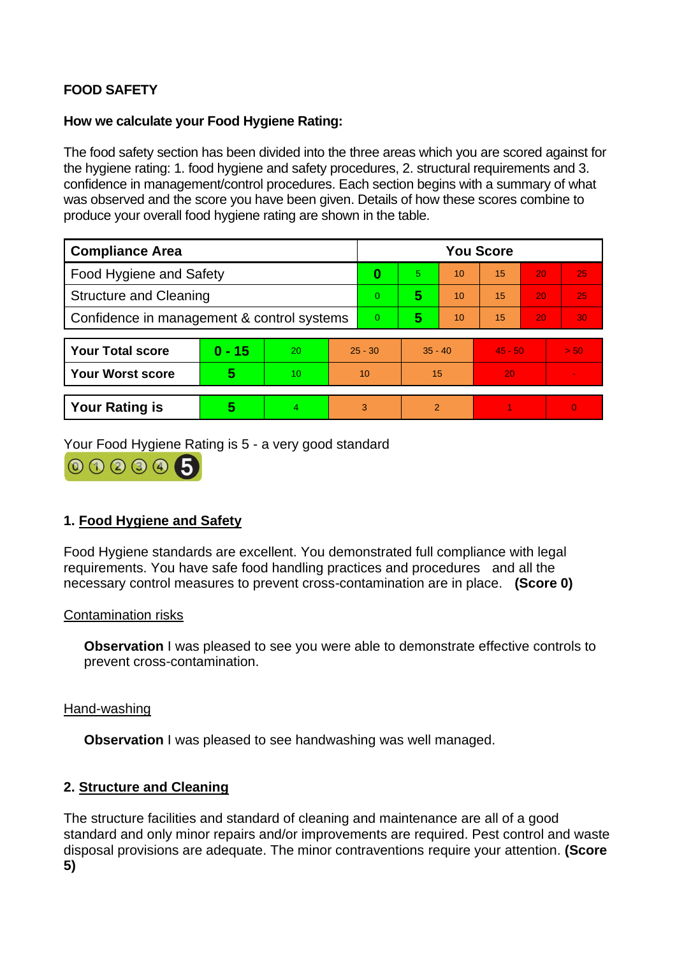# **FOOD SAFETY**

### **How we calculate your Food Hygiene Rating:**

The food safety section has been divided into the three areas which you are scored against for the hygiene rating: 1. food hygiene and safety procedures, 2. structural requirements and 3. confidence in management/control procedures. Each section begins with a summary of what was observed and the score you have been given. Details of how these scores combine to produce your overall food hygiene rating are shown in the table.

| <b>Compliance Area</b>                     |          |    |           | <b>You Score</b> |               |    |           |    |                          |  |  |
|--------------------------------------------|----------|----|-----------|------------------|---------------|----|-----------|----|--------------------------|--|--|
| <b>Food Hygiene and Safety</b>             |          |    |           | 0                | 5             | 10 | 15        | 20 | 25                       |  |  |
| <b>Structure and Cleaning</b>              |          |    |           | $\Omega$         | 5             | 10 | 15        | 20 | 25                       |  |  |
| Confidence in management & control systems |          |    |           | $\overline{0}$   | 5             | 10 | 15        | 20 | 30                       |  |  |
|                                            |          |    |           |                  |               |    |           |    |                          |  |  |
| <b>Your Total score</b>                    | $0 - 15$ | 20 | $25 - 30$ |                  | $35 - 40$     |    | $45 - 50$ |    | > 50                     |  |  |
| <b>Your Worst score</b>                    | 5        | 10 | 10        |                  | 15            |    | 20        |    | $\overline{\phantom{a}}$ |  |  |
|                                            |          |    |           |                  |               |    |           |    |                          |  |  |
| <b>Your Rating is</b>                      | 5        | 4  | 3         |                  | $\mathcal{P}$ |    |           |    | $\overline{0}$           |  |  |

Your Food Hygiene Rating is 5 - a very good standard



## **1. Food Hygiene and Safety**

Food Hygiene standards are excellent. You demonstrated full compliance with legal requirements. You have safe food handling practices and procedures and all the necessary control measures to prevent cross-contamination are in place. **(Score 0)**

#### Contamination risks

**Observation** I was pleased to see you were able to demonstrate effective controls to prevent cross-contamination.

#### Hand-washing

**Observation** I was pleased to see handwashing was well managed.

## **2. Structure and Cleaning**

The structure facilities and standard of cleaning and maintenance are all of a good standard and only minor repairs and/or improvements are required. Pest control and waste disposal provisions are adequate. The minor contraventions require your attention. **(Score 5)**